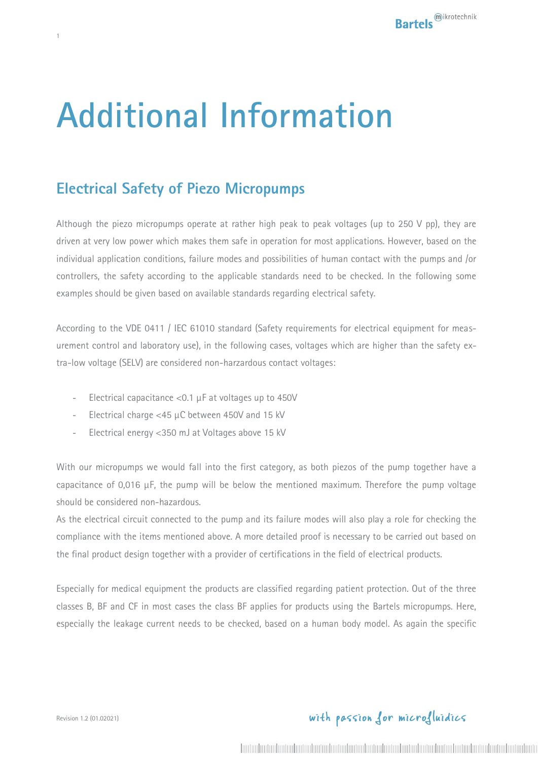# **Additional Information**

## **Electrical Safety of Piezo Micropumps**

1

Although the piezo micropumps operate at rather high peak to peak voltages (up to 250 V pp), they are driven at very low power which makes them safe in operation for most applications. However, based on the individual application conditions, failure modes and possibilities of human contact with the pumps and /or controllers, the safety according to the applicable standards need to be checked. In the following some examples should be given based on available standards regarding electrical safety.

According to the VDE 0411 / IEC 61010 standard (Safety requirements for electrical equipment for measurement control and laboratory use), in the following cases, voltages which are higher than the safety extra-low voltage (SELV) are considered non-harzardous contact voltages:

- Electrical capacitance  $<$  0.1  $\mu$ F at voltages up to 450V
- Electrical charge <45  $\mu$ C between 450V and 15 kV
- Electrical energy <350 mJ at Voltages above 15 kV

With our micropumps we would fall into the first category, as both piezos of the pump together have a capacitance of 0,016 µF, the pump will be below the mentioned maximum. Therefore the pump voltage should be considered non-hazardous.

As the electrical circuit connected to the pump and its failure modes will also play a role for checking the compliance with the items mentioned above. A more detailed proof is necessary to be carried out based on the final product design together with a provider of certifications in the field of electrical products.

Especially for medical equipment the products are classified regarding patient protection. Out of the three classes B, BF and CF in most cases the class BF applies for products using the Bartels micropumps. Here, especially the leakage current needs to be checked, based on a human body model. As again the specific

### with passion for microfluidics